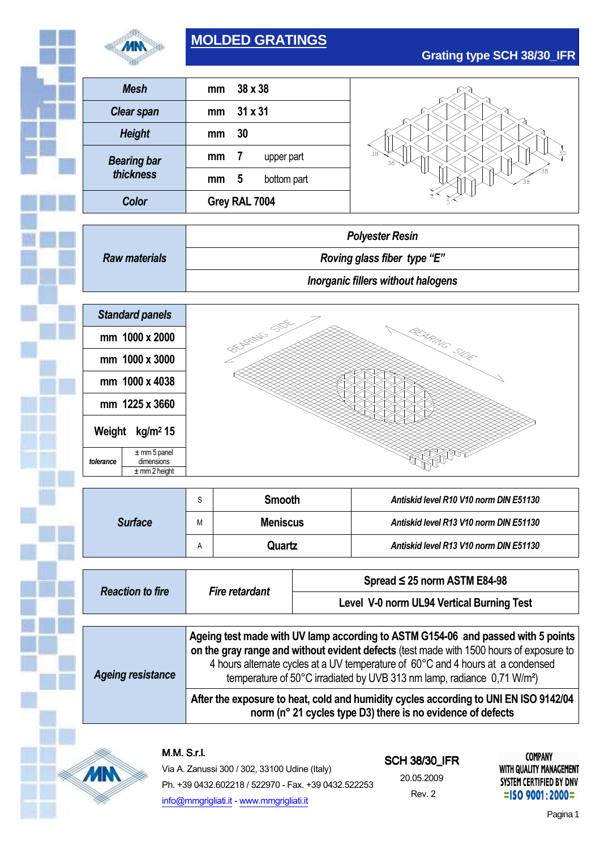

# **MOLDED GRATINGS**

| <b>Mesh</b>                                                    | 38 x 38<br>mm                               |                                        |  |  |  |
|----------------------------------------------------------------|---------------------------------------------|----------------------------------------|--|--|--|
| <b>Clear span</b>                                              | 31 x 31<br>mm                               |                                        |  |  |  |
| <b>Height</b>                                                  | 30<br>mm                                    |                                        |  |  |  |
| <b>Bearing bar</b>                                             | $\overline{\mathbf{r}}$<br>mm<br>upper part |                                        |  |  |  |
| thickness                                                      | 5<br>bottom part<br>mm                      |                                        |  |  |  |
| Color                                                          | Grey RAL 7004                               |                                        |  |  |  |
|                                                                |                                             |                                        |  |  |  |
|                                                                | <b>Polyester Resin</b>                      |                                        |  |  |  |
| <b>Raw materials</b>                                           | Roving glass fiber type "E"                 |                                        |  |  |  |
|                                                                | <b>Inorganic fillers without halogens</b>   |                                        |  |  |  |
|                                                                |                                             |                                        |  |  |  |
| <b>Standard panels</b>                                         |                                             |                                        |  |  |  |
| mm 1000 x 2000                                                 | <b>PETALLIC STOCKS</b>                      | BEARING SIDE                           |  |  |  |
| mm 1000 x 3000                                                 |                                             |                                        |  |  |  |
|                                                                |                                             |                                        |  |  |  |
| mm 1000 x 4038                                                 |                                             |                                        |  |  |  |
| mm 1225 x 3660                                                 |                                             |                                        |  |  |  |
|                                                                |                                             |                                        |  |  |  |
| Weight kg/m <sup>2</sup> 15                                    |                                             |                                        |  |  |  |
| $\pm$ mm 5 panel<br>dimensions<br>tolerance<br>$±$ mm 2 height |                                             |                                        |  |  |  |
|                                                                | <b>Smooth</b><br>S                          | Antiskid level R10 V10 norm DIN E51130 |  |  |  |

<sup>A</sup>**Quartz** *Antiskid level R13 V10 norm DIN E51130*

| <b>Reaction to fire</b>  | <i>Fire retardant</i>                                                                                                                                                                                                                                                                                                                                 | Spread $\leq$ 25 norm ASTM E84-98         |  |  |  |  |
|--------------------------|-------------------------------------------------------------------------------------------------------------------------------------------------------------------------------------------------------------------------------------------------------------------------------------------------------------------------------------------------------|-------------------------------------------|--|--|--|--|
|                          |                                                                                                                                                                                                                                                                                                                                                       | Level V-0 norm UL94 Vertical Burning Test |  |  |  |  |
|                          |                                                                                                                                                                                                                                                                                                                                                       |                                           |  |  |  |  |
| <b>Ageing resistance</b> | Ageing test made with UV lamp according to ASTM G154-06 and passed with 5 points<br>on the gray range and without evident defects (test made with 1500 hours of exposure to<br>4 hours alternate cycles at a UV temperature of 60°C and 4 hours at a condensed<br>temperature of 50°C irradiated by UVB 313 nm lamp, radiance 0,71 W/m <sup>2</sup> ) |                                           |  |  |  |  |
|                          | After the exposure to heat, cold and humidity cycles according to UNI EN ISO 9142/04<br>norm (n° 21 cycles type D3) there is no evidence of defects                                                                                                                                                                                                   |                                           |  |  |  |  |

M.M.S.r.l.



Via A. Zanussi 300 / 302, 33100 Udine (Italy) Ph. +39 0432.602218 / 522970 - Fax. +39 0432.522253 info@mmgrigliati.it - www.mmgrigliati.it

**SCH 38/30\_IFR** 20.05.2009 Rev. 2

**COMPANY** WITH QUALITY MANAGEMENT SYSTEM CERTIFIED BY DNV  $=$ ISO 9001:2000=